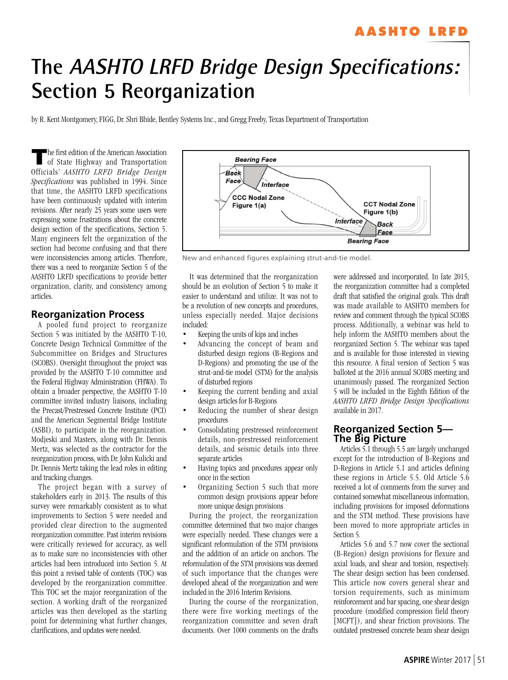# **AASHTO LRFD**

# **The AASHTO LRFD Bridge Design Specifications: Section 5 Reorganization**

by R. Kent Montgomery, FIGG, Dr. Shri Bhide, Bentley Systems Inc., and Gregg Freeby, Texas Department of Transportation

**T** he first edition of the American Association of State Highway and Transportation Officials' *AASHTO LRFD Bridge Design Specifications* was published in 1994. Since that time, the AASHTO LRFD specifications have been continuously updated with interim revisions. After nearly 25 years some users were expressing some frustrations about the concrete design section of the specifications, Section 5. Many engineers felt the organization of the section had become confusing and that there were inconsistencies among articles. Therefore, there was a need to reorganize Section 5 of the AASHTO LRFD specifications to provide better organization, clarity, and consistency among articles.

#### **Reorganization Process**

A pooled fund project to reorganize Section 5 was initiated by the AASHTO T-10, Concrete Design Technical Committee of the Subcommittee on Bridges and Structures (SCOBS). Oversight throughout the project was provided by the AASHTO T-10 committee and the Federal Highway Administration (FHWA). To obtain a broader perspective, the AASHTO T-10 committee invited industry liaisons, including the Precast/Prestressed Concrete Institute (PCI) and the American Segmental Bridge Institute (ASBI), to participate in the reorganization. Modjeski and Masters, along with Dr. Dennis Mertz, was selected as the contractor for the reorganization process, with Dr. John Kulicki and Dr. Dennis Mertz taking the lead roles in editing and tracking changes.

The project began with a survey of stakeholders early in 2013. The results of this survey were remarkably consistent as to what improvements to Section 5 were needed and provided clear direction to the augmented reorganization committee. Past interim revisions were critically reviewed for accuracy, as well as to make sure no inconsistencies with other articles had been introduced into Section 5. At this point a revised table of contents (TOC) was developed by the reorganization committee. This TOC set the major reorganization of the section. A working draft of the reorganized articles was then developed as the starting point for determining what further changes, clarifications, and updates were needed.



New and enhanced figures explaining strut-and-tie model.

It was determined that the reorganization should be an evolution of Section 5 to make it easier to understand and utilize. It was not to be a revolution of new concepts and procedures, unless especially needed. Major decisions included:

- Keeping the units of kips and inches
- Advancing the concept of beam and disturbed design regions (B-Regions and D-Regions) and promoting the use of the strut-and-tie model (STM) for the analysis of disturbed regions
- Keeping the current bending and axial design articles for B-Regions
- Reducing the number of shear design procedures
- Consolidating prestressed reinforcement details, non-prestressed reinforcement details, and seismic details into three separate articles
- Having topics and procedures appear only once in the section
- Organizing Section 5 such that more common design provisions appear before more unique design provisions

During the project, the reorganization committee determined that two major changes were especially needed. These changes were a significant reformulation of the STM provisions and the addition of an article on anchors. The reformulation of the STM provisions was deemed of such importance that the changes were developed ahead of the reorganization and were included in the 2016 Interim Revisions.

During the course of the reorganization, there were five working meetings of the reorganization committee and seven draft documents. Over 1000 comments on the drafts

were addressed and incorporated. In late 2015, the reorganization committee had a completed draft that satisfied the original goals. This draft was made available to AASHTO members for review and comment through the typical SCOBS process. Additionally, a webinar was held to help inform the AASHTO members about the reorganized Section 5. The webinar was taped and is available for those interested in viewing this resource. A final version of Section 5 was balloted at the 2016 annual SCOBS meeting and unanimously passed. The reorganized Section 5 will be included in the Eighth Edition of the *AASHTO LRFD Bridge Design Specifications* available in 2017.

## **Reorganized Section 5— The Big Picture**

Articles 5.1 through 5.5 are largely unchanged except for the introduction of B-Regions and D-Regions in Article 5.1 and articles defining these regions in Article 5.5. Old Article 5.6 received a lot of comments from the survey and contained somewhat miscellaneous information, including provisions for imposed deformations and the STM method. These provisions have been moved to more appropriate articles in Section 5.

Articles 5.6 and 5.7 now cover the sectional (B-Region) design provisions for flexure and axial loads, and shear and torsion, respectively. The shear design section has been condensed. This article now covers general shear and torsion requirements, such as minimum reinforcement and bar spacing, one shear design procedure (modified compression field theory [MCFT]), and shear friction provisions. The outdated prestressed concrete beam shear design